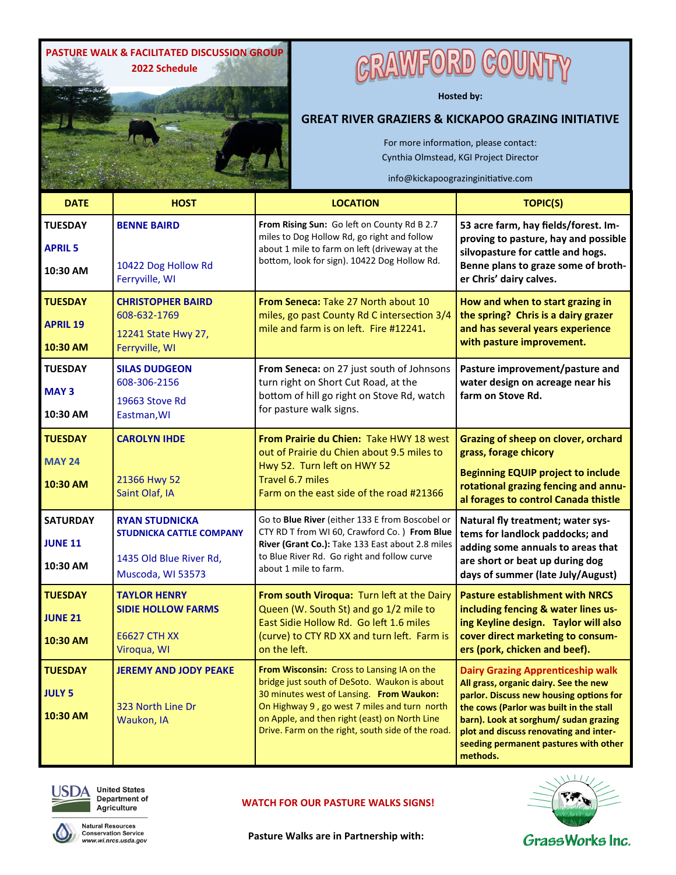

# **GRAWFORD COUN**

**Hosted by:** 

#### **GREAT RIVER GRAZIERS & KICKAPOO GRAZING INITIATIVE**

For more information, please contact: Cynthia Olmstead, KGI Project Director

info@kickapoograzinginitiative.com

| <b>DATE</b>                                   | <b>HOST</b>                                                                                              | <b>LOCATION</b>                                                                                                                                                                                                                                                                              | <b>TOPIC(S)</b>                                                                                                                                                                                                                                                                                                 |
|-----------------------------------------------|----------------------------------------------------------------------------------------------------------|----------------------------------------------------------------------------------------------------------------------------------------------------------------------------------------------------------------------------------------------------------------------------------------------|-----------------------------------------------------------------------------------------------------------------------------------------------------------------------------------------------------------------------------------------------------------------------------------------------------------------|
| <b>TUESDAY</b><br><b>APRIL 5</b><br>10:30 AM  | <b>BENNE BAIRD</b><br>10422 Dog Hollow Rd<br>Ferryville, WI                                              | From Rising Sun: Go left on County Rd B 2.7<br>miles to Dog Hollow Rd, go right and follow<br>about 1 mile to farm on left (driveway at the<br>bottom, look for sign). 10422 Dog Hollow Rd.                                                                                                  | 53 acre farm, hay fields/forest. Im-<br>proving to pasture, hay and possible<br>silvopasture for cattle and hogs.<br>Benne plans to graze some of broth-<br>er Chris' dairy calves.                                                                                                                             |
| <b>TUESDAY</b><br><b>APRIL 19</b><br>10:30 AM | <b>CHRISTOPHER BAIRD</b><br>608-632-1769<br>12241 State Hwy 27,<br>Ferryville, WI                        | <b>From Seneca: Take 27 North about 10</b><br>miles, go past County Rd C intersection 3/4<br>mile and farm is on left. Fire #12241.                                                                                                                                                          | How and when to start grazing in<br>the spring? Chris is a dairy grazer<br>and has several years experience<br>with pasture improvement.                                                                                                                                                                        |
| <b>TUESDAY</b><br><b>MAY3</b><br>10:30 AM     | <b>SILAS DUDGEON</b><br>608-306-2156<br>19663 Stove Rd<br>Eastman, WI                                    | From Seneca: on 27 just south of Johnsons<br>turn right on Short Cut Road, at the<br>bottom of hill go right on Stove Rd, watch<br>for pasture walk signs.                                                                                                                                   | Pasture improvement/pasture and<br>water design on acreage near his<br>farm on Stove Rd.                                                                                                                                                                                                                        |
| <b>TUESDAY</b><br><b>MAY 24</b><br>10:30 AM   | <b>CAROLYN IHDE</b><br>21366 Hwy 52<br>Saint Olaf, IA                                                    | From Prairie du Chien: Take HWY 18 west<br>out of Prairie du Chien about 9.5 miles to<br>Hwy 52. Turn left on HWY 52<br>Travel 6.7 miles<br>Farm on the east side of the road #21366                                                                                                         | Grazing of sheep on clover, orchard<br>grass, forage chicory<br><b>Beginning EQUIP project to include</b><br>rotational grazing fencing and annu-<br>al forages to control Canada thistle                                                                                                                       |
| <b>SATURDAY</b><br><b>JUNE 11</b><br>10:30 AM | <b>RYAN STUDNICKA</b><br><b>STUDNICKA CATTLE COMPANY</b><br>1435 Old Blue River Rd,<br>Muscoda, WI 53573 | Go to Blue River (either 133 E from Boscobel or<br>CTY RD T from WI 60, Crawford Co.) From Blue<br>River (Grant Co.): Take 133 East about 2.8 miles<br>to Blue River Rd. Go right and follow curve<br>about 1 mile to farm.                                                                  | Natural fly treatment; water sys-<br>tems for landlock paddocks; and<br>adding some annuals to areas that<br>are short or beat up during dog<br>days of summer (late July/August)                                                                                                                               |
| <b>TUESDAY</b><br><b>JUNE 21</b><br>10:30 AM  | <b>TAYLOR HENRY</b><br><b>SIDIE HOLLOW FARMS</b><br><b>E6627 CTH XX</b><br>Viroqua, WI                   | From south Viroqua: Turn left at the Dairy<br>Queen (W. South St) and go 1/2 mile to<br>East Sidie Hollow Rd. Go left 1.6 miles<br>(curve) to CTY RD XX and turn left. Farm is<br>on the left.                                                                                               | <b>Pasture establishment with NRCS</b><br>including fencing & water lines us-<br>ing Keyline design. Taylor will also<br>cover direct marketing to consum-<br>ers (pork, chicken and beef).                                                                                                                     |
| <b>TUESDAY</b><br><b>JULY 5</b><br>10:30 AM   | <b>JEREMY AND JODY PEAKE</b><br>323 North Line Dr<br>Waukon, IA                                          | From Wisconsin: Cross to Lansing IA on the<br>bridge just south of DeSoto. Waukon is about<br>30 minutes west of Lansing. From Waukon:<br>On Highway 9, go west 7 miles and turn north<br>on Apple, and then right (east) on North Line<br>Drive. Farm on the right, south side of the road. | <b>Dairy Grazing Apprenticeship walk</b><br>All grass, organic dairy. See the new<br>parlor. Discuss new housing options for<br>the cows (Parlor was built in the stall<br>barn). Look at sorghum/ sudan grazing<br>plot and discuss renovating and inter-<br>seeding permanent pastures with other<br>methods. |



**United States** Department of Agriculture

**WATCH FOR OUR PASTURE WALKS SIGNS!**



**Natural Resources** Conservation Service<br>www.wi.nrcs.usda.gov

**Pasture Walks are in Partnership with:**

GrassWorks Inc.